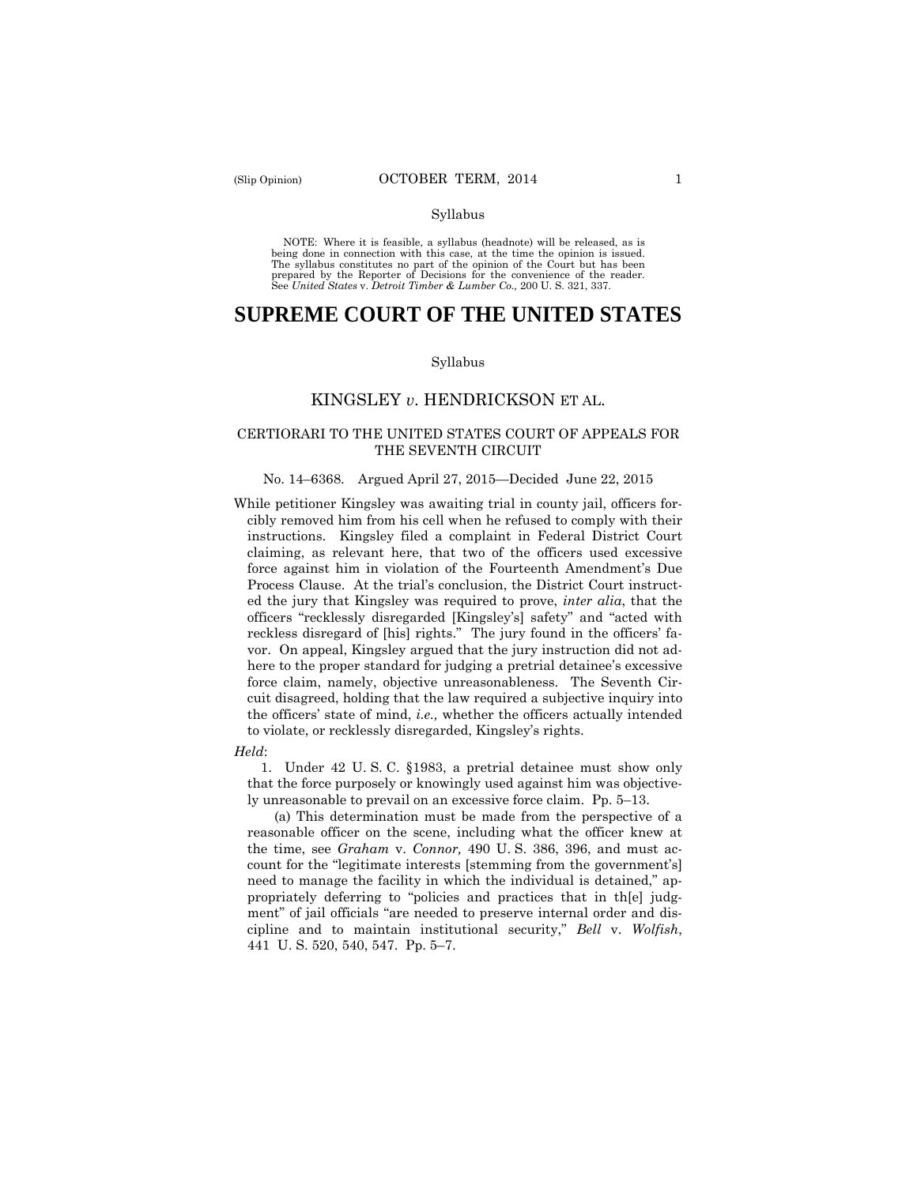#### Syllabus

 NOTE: Where it is feasible, a syllabus (headnote) will be released, as is being done in connection with this case, at the time the opinion is issued. The syllabus constitutes no part of the opinion of the Court but has been<br>prepared by the Reporter of Decisions for the convenience of the reader.<br>See United States v. Detroit Timber & Lumber Co., 200 U.S. 321, 337.

# **SUPREME COURT OF THE UNITED STATES**

#### Syllabus

## KINGSLEY *v*. HENDRICKSON ET AL.

### CERTIORARI TO THE UNITED STATES COURT OF APPEALS FOR THE SEVENTH CIRCUIT

#### No. 14–6368. Argued April 27, 2015—Decided June 22, 2015

 reckless disregard of [his] rights." The jury found in the officers' fa-While petitioner Kingsley was awaiting trial in county jail, officers forcibly removed him from his cell when he refused to comply with their instructions. Kingsley filed a complaint in Federal District Court claiming, as relevant here, that two of the officers used excessive force against him in violation of the Fourteenth Amendment's Due Process Clause. At the trial's conclusion, the District Court instructed the jury that Kingsley was required to prove, *inter alia*, that the officers "recklessly disregarded [Kingsley's] safety" and "acted with vor. On appeal, Kingsley argued that the jury instruction did not adhere to the proper standard for judging a pretrial detainee's excessive force claim, namely, objective unreasonableness. The Seventh Circuit disagreed, holding that the law required a subjective inquiry into the officers' state of mind, *i.e.,* whether the officers actually intended to violate, or recklessly disregarded, Kingsley's rights.

#### *Held*:

1. Under 42 U. S. C. §1983, a pretrial detainee must show only that the force purposely or knowingly used against him was objectively unreasonable to prevail on an excessive force claim. Pp. 5–13.

(a) This determination must be made from the perspective of a reasonable officer on the scene, including what the officer knew at the time, see *Graham* v. *Connor,* 490 U. S. 386, 396, and must account for the "legitimate interests [stemming from the government's] need to manage the facility in which the individual is detained," appropriately deferring to "policies and practices that in th[e] judgment" of jail officials "are needed to preserve internal order and discipline and to maintain institutional security," *Bell* v. *Wolfish*, 441 U. S. 520, 540, 547. Pp. 5–7.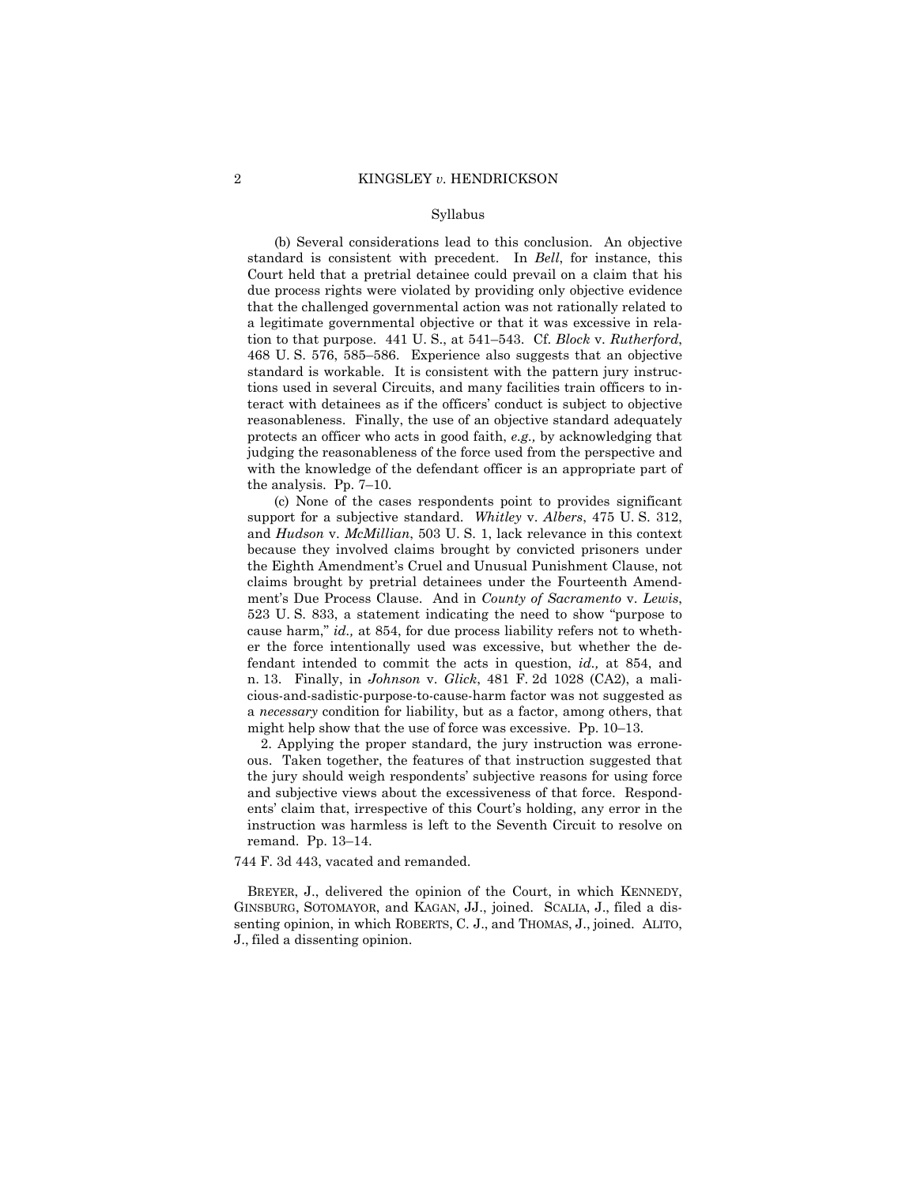#### Syllabus

(b) Several considerations lead to this conclusion. An objective standard is consistent with precedent. In *Bell*, for instance, this Court held that a pretrial detainee could prevail on a claim that his due process rights were violated by providing only objective evidence that the challenged governmental action was not rationally related to a legitimate governmental objective or that it was excessive in relation to that purpose. 441 U. S., at 541–543. Cf. *Block* v. *Rutherford*, 468 U. S. 576, 585–586. Experience also suggests that an objective standard is workable. It is consistent with the pattern jury instructions used in several Circuits, and many facilities train officers to interact with detainees as if the officers' conduct is subject to objective reasonableness. Finally, the use of an objective standard adequately protects an officer who acts in good faith, *e.g.,* by acknowledging that judging the reasonableness of the force used from the perspective and with the knowledge of the defendant officer is an appropriate part of the analysis. Pp. 7–10.

(c) None of the cases respondents point to provides significant support for a subjective standard. *Whitley* v. *Albers*, 475 U. S. 312, and *Hudson* v. *McMillian*, 503 U. S. 1, lack relevance in this context because they involved claims brought by convicted prisoners under the Eighth Amendment's Cruel and Unusual Punishment Clause, not claims brought by pretrial detainees under the Fourteenth Amendment's Due Process Clause. And in *County of Sacramento* v. *Lewis*, 523 U. S. 833, a statement indicating the need to show "purpose to cause harm," *id.,* at 854, for due process liability refers not to whether the force intentionally used was excessive, but whether the defendant intended to commit the acts in question, *id.,* at 854, and n. 13. Finally, in *Johnson* v. *Glick*, 481 F. 2d 1028 (CA2), a malicious-and-sadistic-purpose-to-cause-harm factor was not suggested as a *necessary* condition for liability, but as a factor, among others, that might help show that the use of force was excessive. Pp. 10–13.

2. Applying the proper standard, the jury instruction was erroneous. Taken together, the features of that instruction suggested that the jury should weigh respondents' subjective reasons for using force and subjective views about the excessiveness of that force. Respondents' claim that, irrespective of this Court's holding, any error in the instruction was harmless is left to the Seventh Circuit to resolve on remand. Pp. 13–14.

744 F. 3d 443, vacated and remanded.

 GINSBURG, SOTOMAYOR, and KAGAN, JJ., joined. SCALIA, J., filed a dis- senting opinion, in which ROBERTS, C. J., and THOMAS, J., joined. ALITO, BREYER, J., delivered the opinion of the Court, in which KENNEDY, J., filed a dissenting opinion.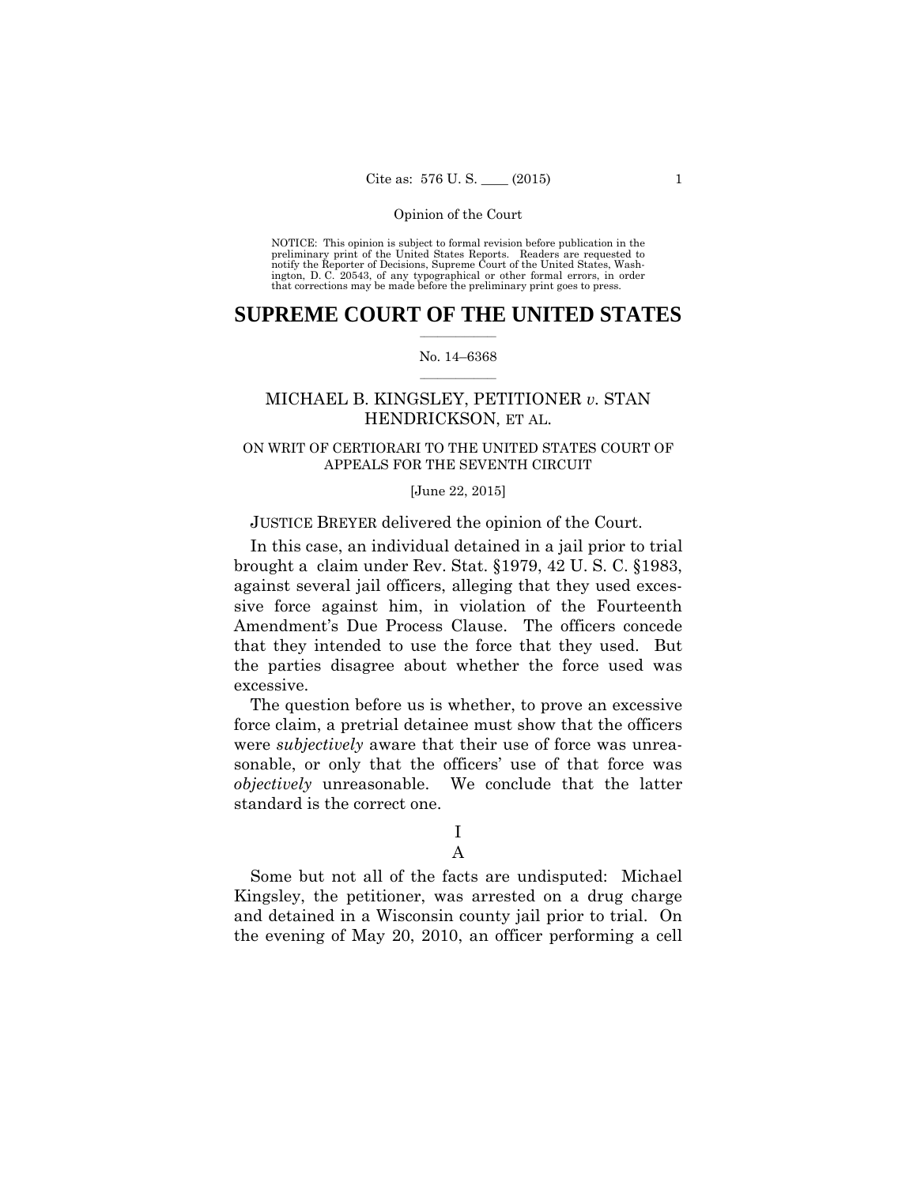preliminary print of the United States Reports. Readers are requested to notify the Reporter of Decisions, Supreme Court of the United States, Wash- ington, D. C. 20543, of any typographical or other formal errors, in order that corrections may be made before the preliminary print goes to press. NOTICE: This opinion is subject to formal revision before publication in the

## $\frac{1}{2}$  , where  $\frac{1}{2}$ **SUPREME COURT OF THE UNITED STATES**

#### $\frac{1}{2}$  ,  $\frac{1}{2}$  ,  $\frac{1}{2}$  ,  $\frac{1}{2}$  ,  $\frac{1}{2}$  ,  $\frac{1}{2}$ No. 14–6368

## MICHAEL B. KINGSLEY, PETITIONER *v.* STAN HENDRICKSON, ET AL.

## ON WRIT OF CERTIORARI TO THE UNITED STATES COURT OF APPEALS FOR THE SEVENTH CIRCUIT

#### [June 22, 2015]

## JUSTICE BREYER delivered the opinion of the Court.

In this case, an individual detained in a jail prior to trial brought a claim under Rev. Stat. §1979, 42 U. S. C. §1983, against several jail officers, alleging that they used excessive force against him, in violation of the Fourteenth Amendment's Due Process Clause. The officers concede that they intended to use the force that they used. But the parties disagree about whether the force used was excessive.

The question before us is whether, to prove an excessive force claim, a pretrial detainee must show that the officers were *subjectively* aware that their use of force was unreasonable, or only that the officers' use of that force was *objectively* unreasonable. We conclude that the latter standard is the correct one.

# I

## A

Some but not all of the facts are undisputed: Michael Kingsley, the petitioner, was arrested on a drug charge and detained in a Wisconsin county jail prior to trial. On the evening of May 20, 2010, an officer performing a cell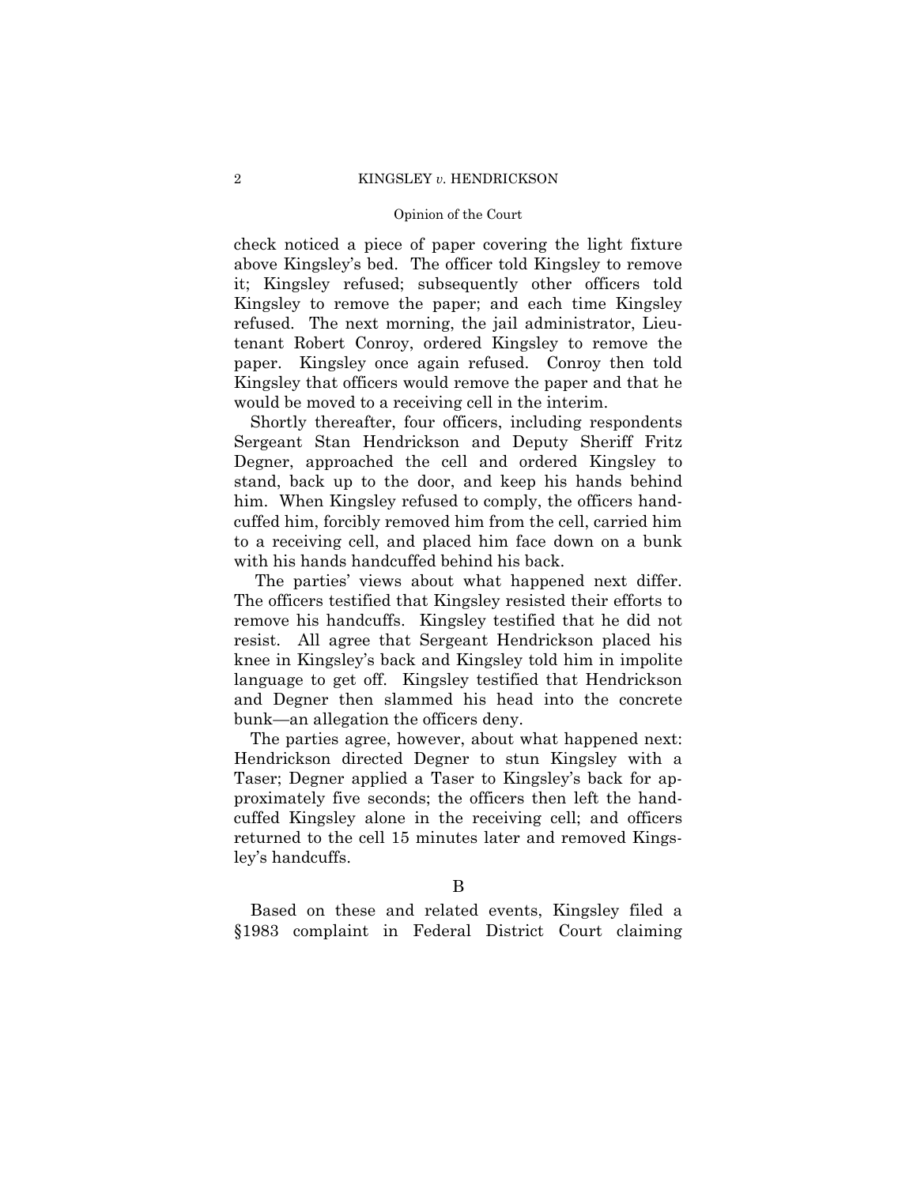check noticed a piece of paper covering the light fixture above Kingsley's bed. The officer told Kingsley to remove it; Kingsley refused; subsequently other officers told Kingsley to remove the paper; and each time Kingsley refused. The next morning, the jail administrator, Lieutenant Robert Conroy, ordered Kingsley to remove the paper. Kingsley once again refused. Conroy then told Kingsley that officers would remove the paper and that he would be moved to a receiving cell in the interim.

Shortly thereafter, four officers, including respondents Sergeant Stan Hendrickson and Deputy Sheriff Fritz Degner, approached the cell and ordered Kingsley to stand, back up to the door, and keep his hands behind him. When Kingsley refused to comply, the officers handcuffed him, forcibly removed him from the cell, carried him to a receiving cell, and placed him face down on a bunk with his hands handcuffed behind his back.

The parties' views about what happened next differ. The officers testified that Kingsley resisted their efforts to remove his handcuffs. Kingsley testified that he did not resist. All agree that Sergeant Hendrickson placed his knee in Kingsley's back and Kingsley told him in impolite language to get off. Kingsley testified that Hendrickson and Degner then slammed his head into the concrete bunk—an allegation the officers deny.

 Hendrickson directed Degner to stun Kingsley with a The parties agree, however, about what happened next: Taser; Degner applied a Taser to Kingsley's back for approximately five seconds; the officers then left the handcuffed Kingsley alone in the receiving cell; and officers returned to the cell 15 minutes later and removed Kingsley's handcuffs.

B

Based on these and related events, Kingsley filed a §1983 complaint in Federal District Court claiming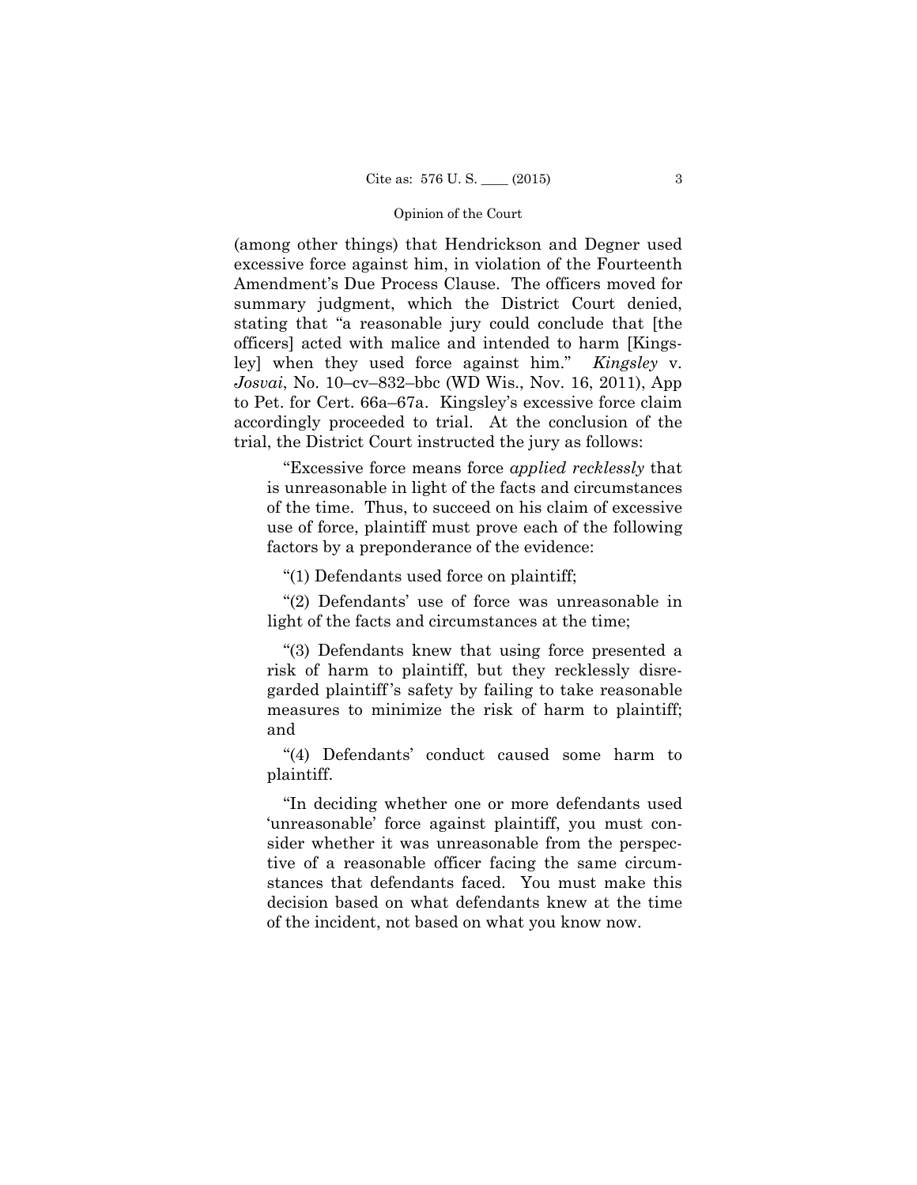(among other things) that Hendrickson and Degner used excessive force against him, in violation of the Fourteenth Amendment's Due Process Clause. The officers moved for summary judgment, which the District Court denied, stating that "a reasonable jury could conclude that [the officers] acted with malice and intended to harm [Kingsley] when they used force against him." *Kingsley* v. *Josvai*, No. 10–cv–832–bbc (WD Wis., Nov. 16, 2011), App to Pet. for Cert. 66a–67a. Kingsley's excessive force claim accordingly proceeded to trial. At the conclusion of the trial, the District Court instructed the jury as follows:

"Excessive force means force *applied recklessly* that is unreasonable in light of the facts and circumstances of the time. Thus, to succeed on his claim of excessive use of force, plaintiff must prove each of the following factors by a preponderance of the evidence:

"(1) Defendants used force on plaintiff;

"(2) Defendants' use of force was unreasonable in light of the facts and circumstances at the time;

"(3) Defendants knew that using force presented a risk of harm to plaintiff, but they recklessly disregarded plaintiff 's safety by failing to take reasonable measures to minimize the risk of harm to plaintiff; and

"(4) Defendants' conduct caused some harm to plaintiff.

"In deciding whether one or more defendants used 'unreasonable' force against plaintiff, you must consider whether it was unreasonable from the perspective of a reasonable officer facing the same circumstances that defendants faced. You must make this decision based on what defendants knew at the time of the incident, not based on what you know now.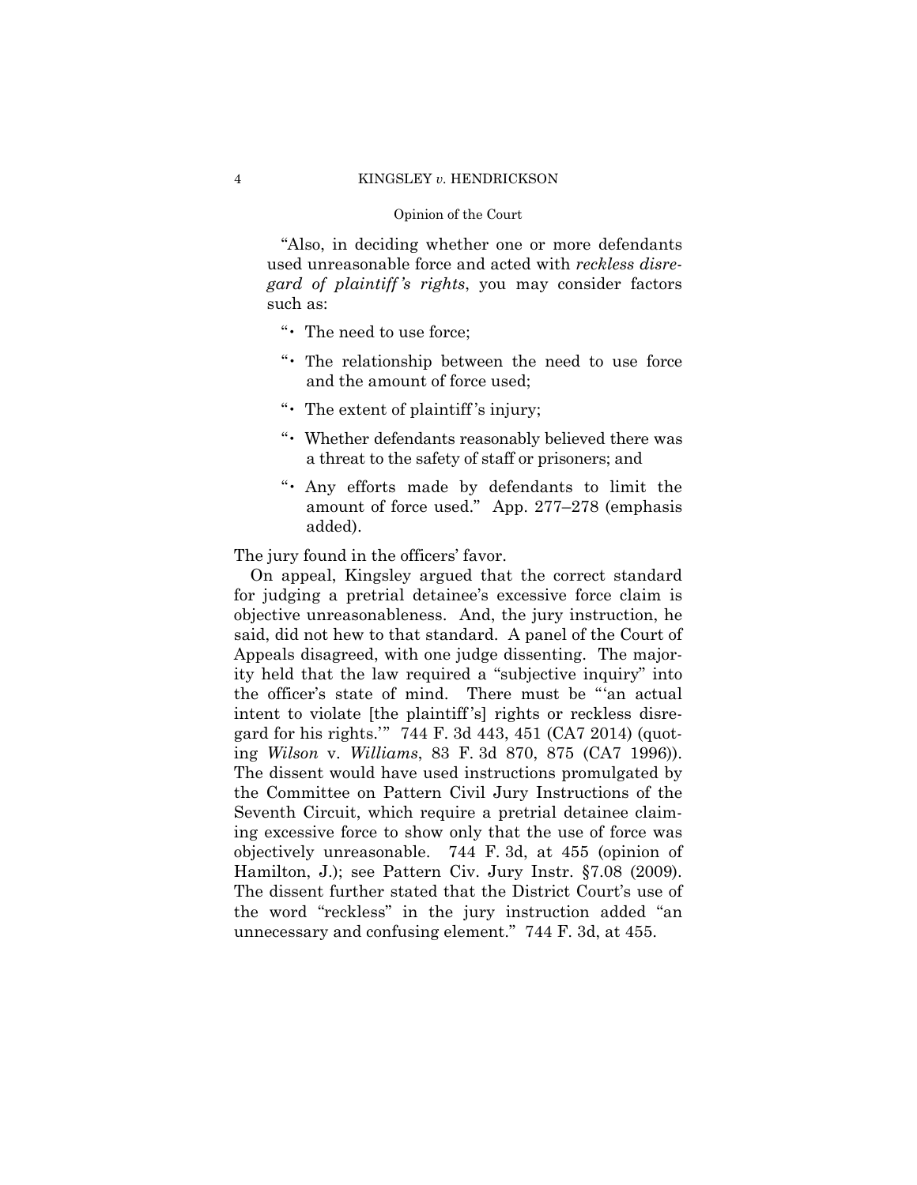"Also, in deciding whether one or more defendants used unreasonable force and acted with *reckless disregard of plaintiff 's rights*, you may consider factors such as:

- "• The need to use force;
- "• The relationship between the need to use force and the amount of force used;
- "• The extent of plaintiff 's injury;
- "• Whether defendants reasonably believed there was a threat to the safety of staff or prisoners; and
- "• Any efforts made by defendants to limit the amount of force used." App. 277–278 (emphasis added).

The jury found in the officers' favor.

On appeal, Kingsley argued that the correct standard for judging a pretrial detainee's excessive force claim is objective unreasonableness. And, the jury instruction, he said, did not hew to that standard. A panel of the Court of Appeals disagreed, with one judge dissenting. The majority held that the law required a "subjective inquiry" into the officer's state of mind. There must be "'an actual intent to violate [the plaintiff 's] rights or reckless disregard for his rights.'" 744 F. 3d 443, 451 (CA7 2014) (quoting *Wilson* v. *Williams*, 83 F. 3d 870, 875 (CA7 1996)). The dissent would have used instructions promulgated by the Committee on Pattern Civil Jury Instructions of the Seventh Circuit, which require a pretrial detainee claiming excessive force to show only that the use of force was objectively unreasonable. 744 F. 3d, at 455 (opinion of Hamilton, J.); see Pattern Civ. Jury Instr. §7.08 (2009). The dissent further stated that the District Court's use of the word "reckless" in the jury instruction added "an unnecessary and confusing element." 744 F. 3d, at 455.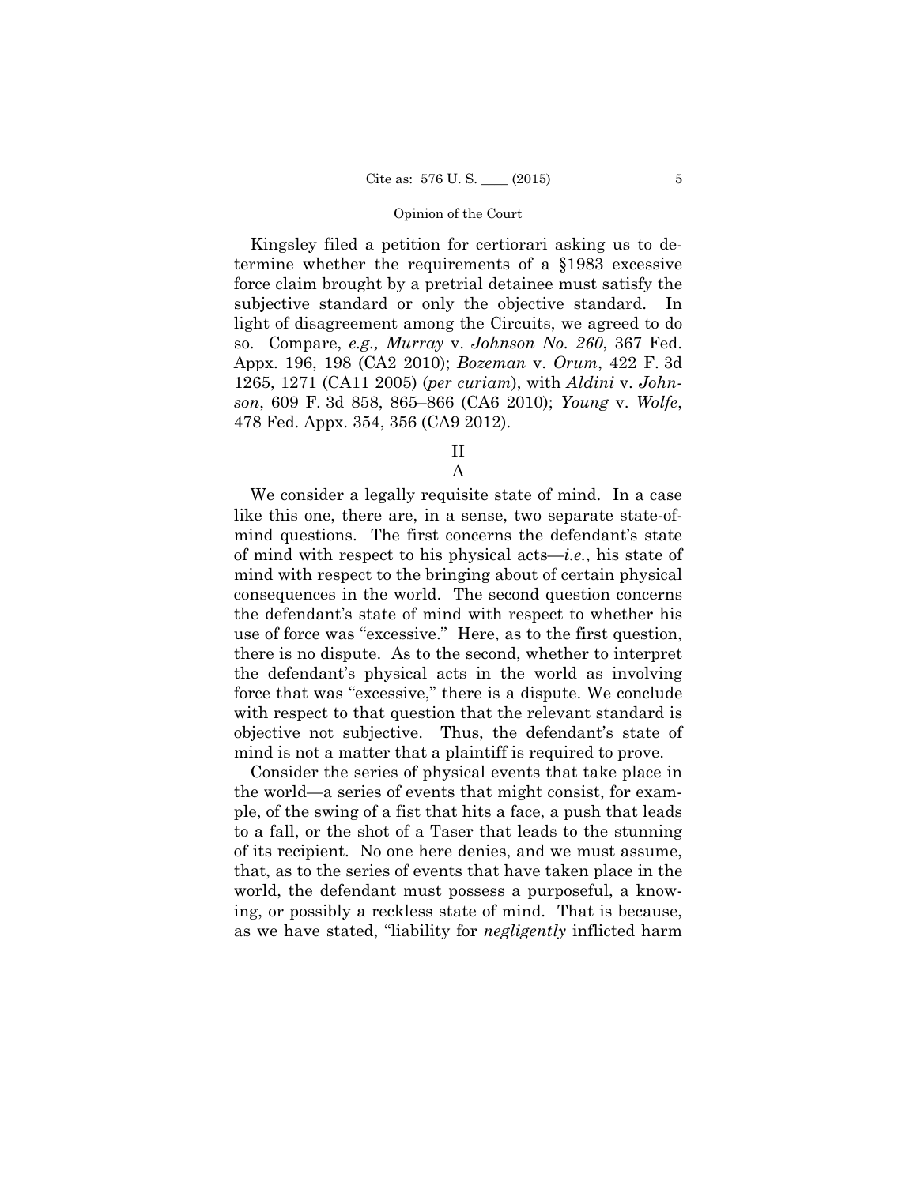Kingsley filed a petition for certiorari asking us to determine whether the requirements of a §1983 excessive force claim brought by a pretrial detainee must satisfy the subjective standard or only the objective standard. In light of disagreement among the Circuits, we agreed to do so. Compare, *e.g., Murray* v. *Johnson No. 260*, 367 Fed. Appx. 196, 198 (CA2 2010); *Bozeman* v. *Orum*, 422 F. 3d 1265, 1271 (CA11 2005) (*per curiam*), with *Aldini* v. *Johnson*, 609 F. 3d 858, 865–866 (CA6 2010); *Young* v. *Wolfe*, 478 Fed. Appx. 354, 356 (CA9 2012).

II

A

We consider a legally requisite state of mind. In a case like this one, there are, in a sense, two separate state-ofmind questions. The first concerns the defendant's state of mind with respect to his physical acts—*i.e.*, his state of mind with respect to the bringing about of certain physical consequences in the world. The second question concerns the defendant's state of mind with respect to whether his use of force was "excessive." Here, as to the first question, there is no dispute. As to the second, whether to interpret the defendant's physical acts in the world as involving force that was "excessive," there is a dispute. We conclude with respect to that question that the relevant standard is objective not subjective. Thus, the defendant's state of mind is not a matter that a plaintiff is required to prove.

Consider the series of physical events that take place in the world—a series of events that might consist, for example, of the swing of a fist that hits a face, a push that leads to a fall, or the shot of a Taser that leads to the stunning of its recipient. No one here denies, and we must assume, that, as to the series of events that have taken place in the world, the defendant must possess a purposeful, a knowing, or possibly a reckless state of mind. That is because, as we have stated, "liability for *negligently* inflicted harm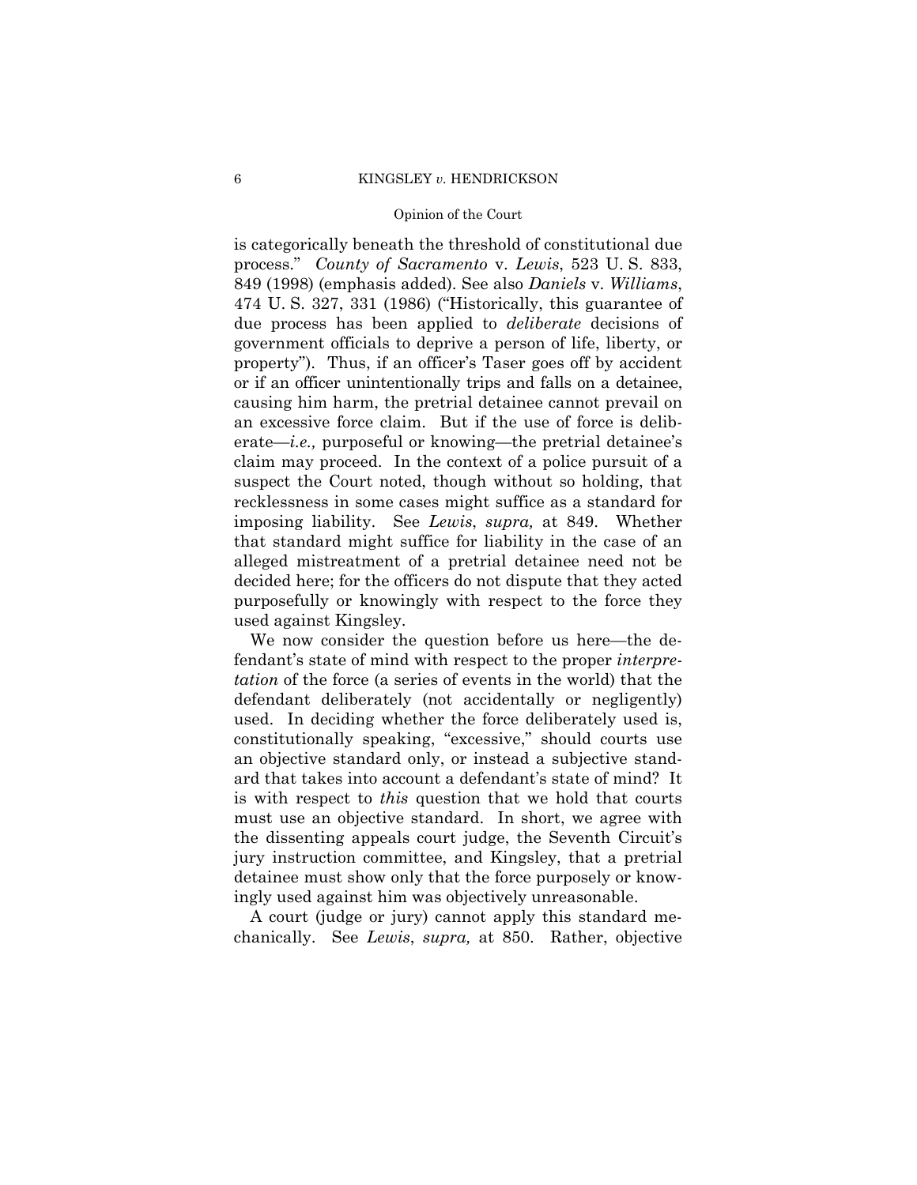or if an officer unintentionally trips and falls on a detainee, is categorically beneath the threshold of constitutional due process." *County of Sacramento* v. *Lewis*, 523 U. S. 833, 849 (1998) (emphasis added). See also *Daniels* v. *Williams*, 474 U. S. 327, 331 (1986) ("Historically, this guarantee of due process has been applied to *deliberate* decisions of government officials to deprive a person of life, liberty, or property"). Thus, if an officer's Taser goes off by accident causing him harm, the pretrial detainee cannot prevail on an excessive force claim. But if the use of force is deliberate—*i.e.,* purposeful or knowing—the pretrial detainee's claim may proceed. In the context of a police pursuit of a suspect the Court noted, though without so holding, that recklessness in some cases might suffice as a standard for imposing liability. See *Lewis*, *supra,* at 849. Whether that standard might suffice for liability in the case of an alleged mistreatment of a pretrial detainee need not be decided here; for the officers do not dispute that they acted purposefully or knowingly with respect to the force they used against Kingsley.

We now consider the question before us here—the defendant's state of mind with respect to the proper *interpretation* of the force (a series of events in the world) that the defendant deliberately (not accidentally or negligently) used. In deciding whether the force deliberately used is, constitutionally speaking, "excessive," should courts use an objective standard only, or instead a subjective standard that takes into account a defendant's state of mind? It is with respect to *this* question that we hold that courts must use an objective standard. In short, we agree with the dissenting appeals court judge, the Seventh Circuit's jury instruction committee, and Kingsley, that a pretrial detainee must show only that the force purposely or knowingly used against him was objectively unreasonable.

A court (judge or jury) cannot apply this standard mechanically. See *Lewis*, *supra,* at 850. Rather, objective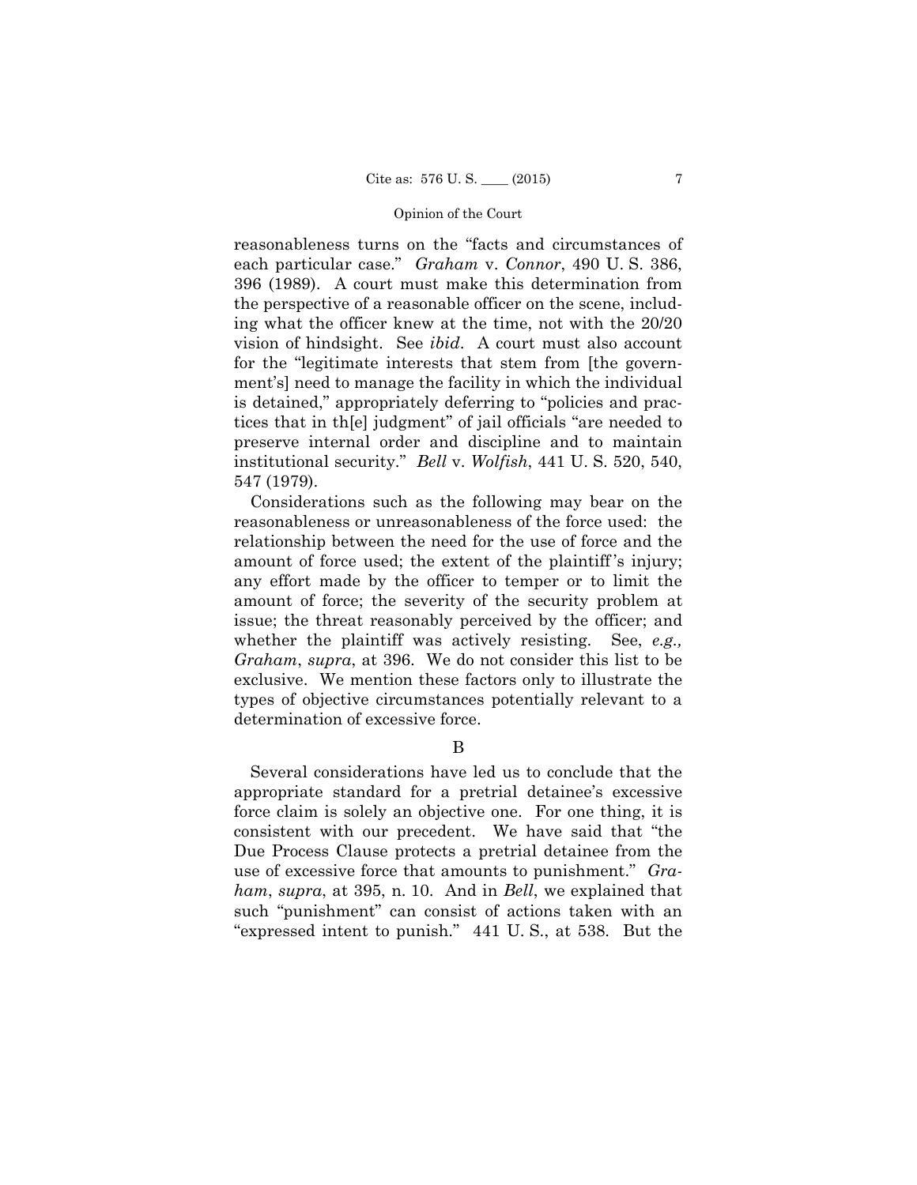reasonableness turns on the "facts and circumstances of each particular case." *Graham* v. *Connor*, 490 U. S. 386, 396 (1989). A court must make this determination from the perspective of a reasonable officer on the scene, including what the officer knew at the time, not with the 20/20 vision of hindsight. See *ibid*. A court must also account for the "legitimate interests that stem from [the government's] need to manage the facility in which the individual is detained," appropriately deferring to "policies and practices that in th[e] judgment" of jail officials "are needed to preserve internal order and discipline and to maintain institutional security." *Bell* v. *Wolfish*, 441 U. S. 520, 540, 547 (1979).

Considerations such as the following may bear on the reasonableness or unreasonableness of the force used: the relationship between the need for the use of force and the amount of force used; the extent of the plaintiff 's injury; any effort made by the officer to temper or to limit the amount of force; the severity of the security problem at issue; the threat reasonably perceived by the officer; and whether the plaintiff was actively resisting. See, *e.g., Graham*, *supra*, at 396. We do not consider this list to be exclusive. We mention these factors only to illustrate the types of objective circumstances potentially relevant to a determination of excessive force.

B

Several considerations have led us to conclude that the appropriate standard for a pretrial detainee's excessive force claim is solely an objective one. For one thing, it is consistent with our precedent. We have said that "the Due Process Clause protects a pretrial detainee from the use of excessive force that amounts to punishment." *Graham*, *supra*, at 395, n. 10. And in *Bell*, we explained that such "punishment" can consist of actions taken with an "expressed intent to punish." 441 U. S., at 538. But the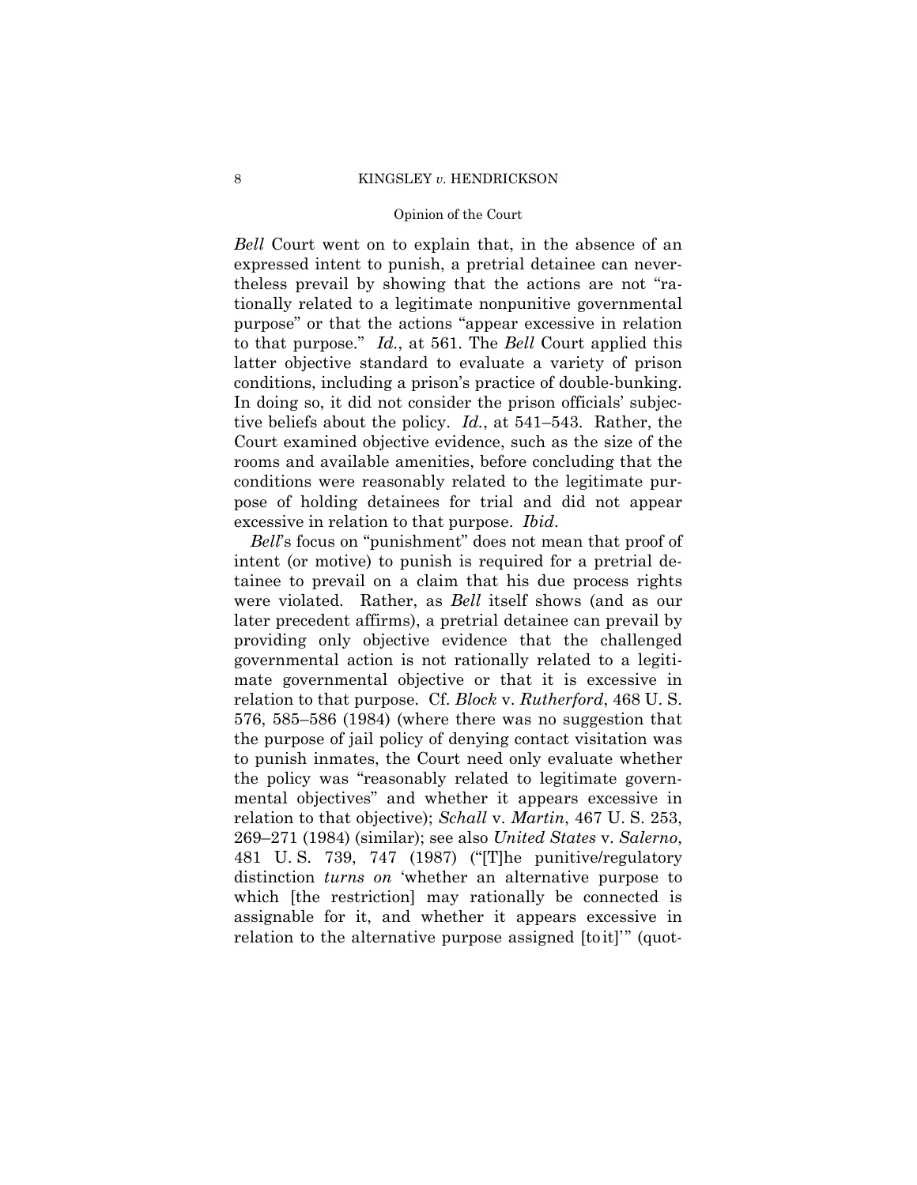*Bell* Court went on to explain that, in the absence of an expressed intent to punish, a pretrial detainee can nevertheless prevail by showing that the actions are not "rationally related to a legitimate nonpunitive governmental purpose" or that the actions "appear excessive in relation to that purpose." *Id.*, at 561. The *Bell* Court applied this latter objective standard to evaluate a variety of prison conditions, including a prison's practice of double-bunking. In doing so, it did not consider the prison officials' subjective beliefs about the policy. *Id.*, at 541–543. Rather, the Court examined objective evidence, such as the size of the rooms and available amenities, before concluding that the conditions were reasonably related to the legitimate purpose of holding detainees for trial and did not appear excessive in relation to that purpose. *Ibid*.

 relation to the alternative purpose assigned [toit]'" (quot-*Bell*'s focus on "punishment" does not mean that proof of intent (or motive) to punish is required for a pretrial detainee to prevail on a claim that his due process rights were violated. Rather, as *Bell* itself shows (and as our later precedent affirms), a pretrial detainee can prevail by providing only objective evidence that the challenged governmental action is not rationally related to a legitimate governmental objective or that it is excessive in relation to that purpose. Cf. *Block* v. *Rutherford*, 468 U. S. 576, 585–586 (1984) (where there was no suggestion that the purpose of jail policy of denying contact visitation was to punish inmates, the Court need only evaluate whether the policy was "reasonably related to legitimate governmental objectives" and whether it appears excessive in relation to that objective); *Schall* v. *Martin*, 467 U. S. 253, 269–271 (1984) (similar); see also *United States* v. *Salerno*, 481 U. S. 739, 747 (1987) ("[T]he punitive/regulatory distinction *turns on* 'whether an alternative purpose to which [the restriction] may rationally be connected is assignable for it, and whether it appears excessive in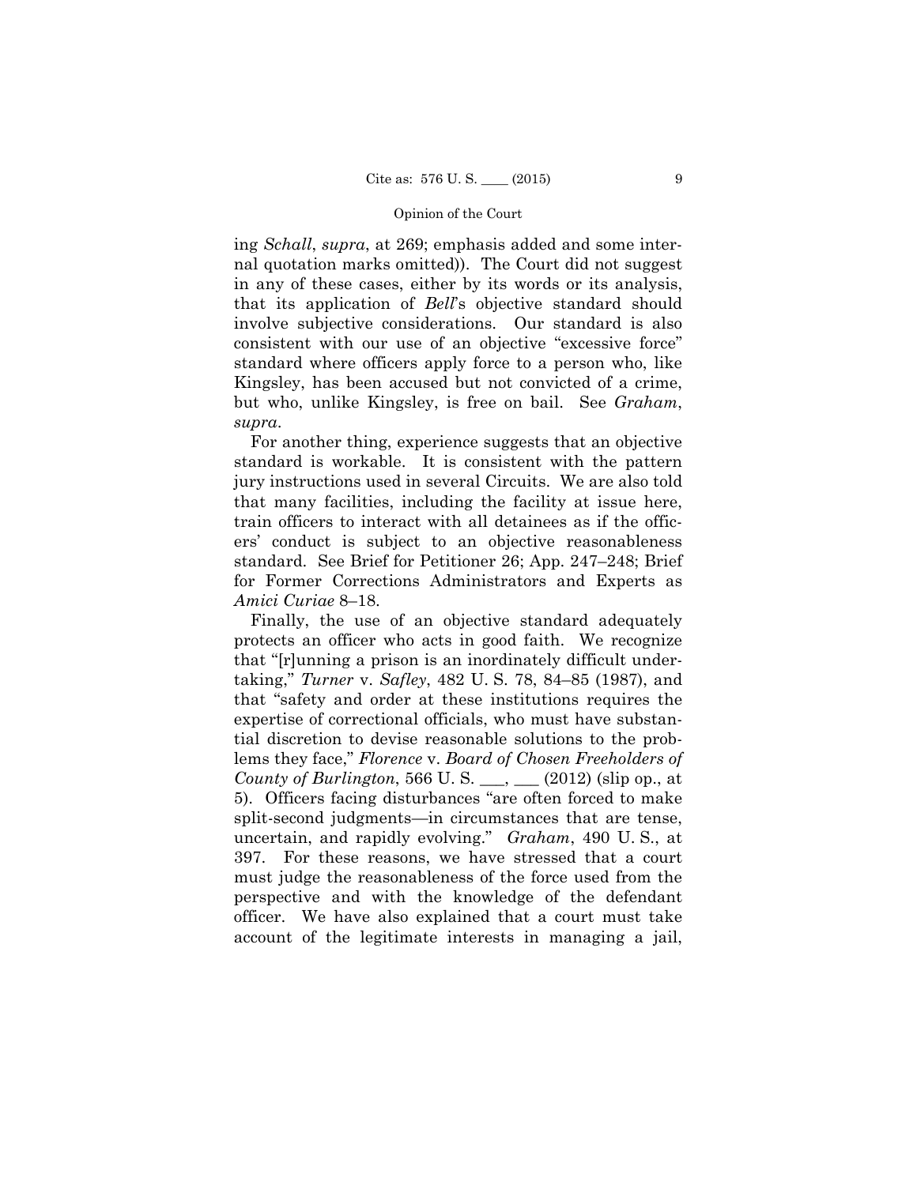ing *Schall*, *supra*, at 269; emphasis added and some internal quotation marks omitted)). The Court did not suggest in any of these cases, either by its words or its analysis, that its application of *Bell*'s objective standard should involve subjective considerations. Our standard is also consistent with our use of an objective "excessive force" standard where officers apply force to a person who, like Kingsley, has been accused but not convicted of a crime, but who, unlike Kingsley, is free on bail. See *Graham*, *supra*.

For another thing, experience suggests that an objective standard is workable. It is consistent with the pattern jury instructions used in several Circuits. We are also told that many facilities, including the facility at issue here, train officers to interact with all detainees as if the officers' conduct is subject to an objective reasonableness standard. See Brief for Petitioner 26; App. 247–248; Brief for Former Corrections Administrators and Experts as *Amici Curiae* 8–18.

Finally, the use of an objective standard adequately protects an officer who acts in good faith. We recognize that "[r]unning a prison is an inordinately difficult undertaking," *Turner* v. *Safley*, 482 U. S. 78, 84–85 (1987), and that "safety and order at these institutions requires the expertise of correctional officials, who must have substantial discretion to devise reasonable solutions to the problems they face," *Florence* v. *Board of Chosen Freeholders of County of Burlington*, 566 U. S. \_\_\_, \_\_\_ (2012) (slip op., at 5). Officers facing disturbances "are often forced to make split-second judgments—in circumstances that are tense, uncertain, and rapidly evolving." *Graham*, 490 U. S., at 397. For these reasons, we have stressed that a court must judge the reasonableness of the force used from the perspective and with the knowledge of the defendant officer. We have also explained that a court must take account of the legitimate interests in managing a jail,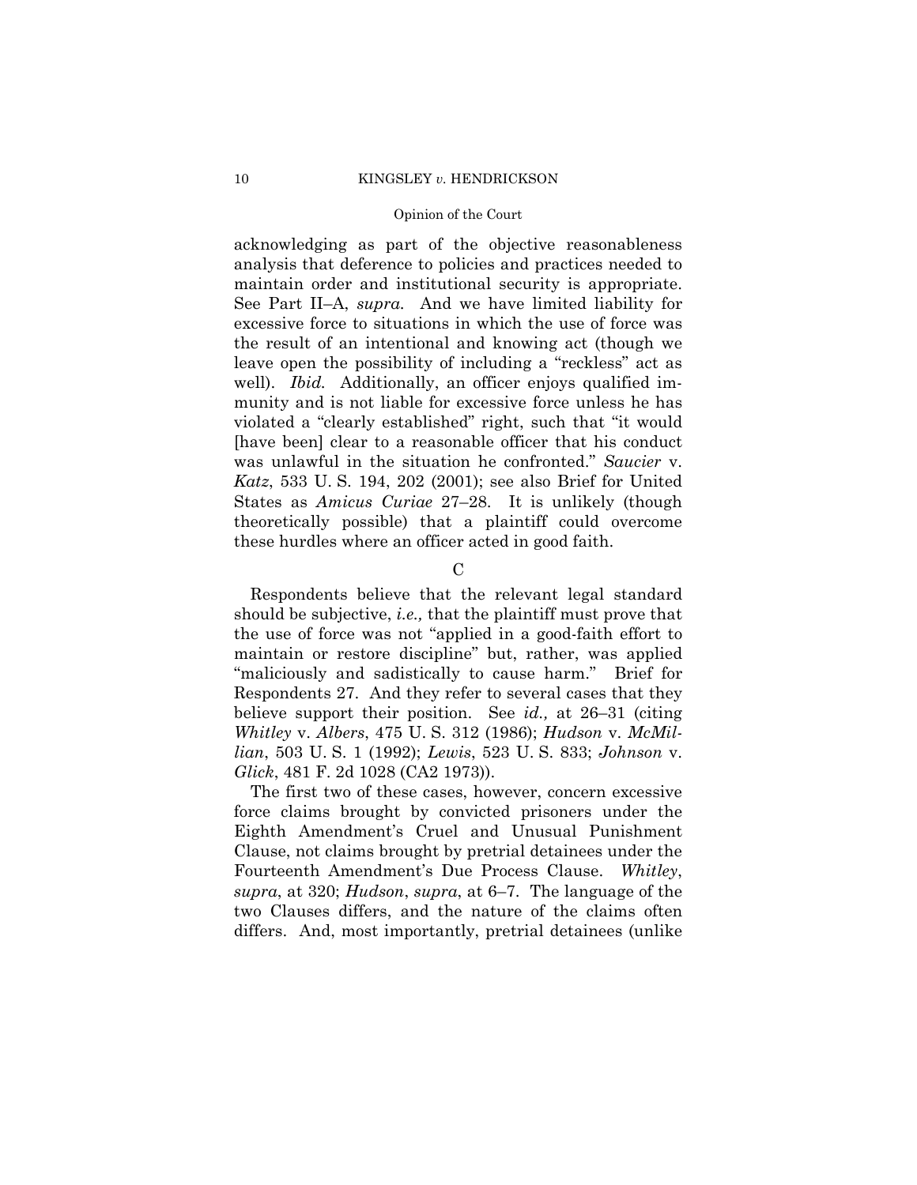acknowledging as part of the objective reasonableness analysis that deference to policies and practices needed to maintain order and institutional security is appropriate. See Part II–A, *supra.* And we have limited liability for excessive force to situations in which the use of force was the result of an intentional and knowing act (though we leave open the possibility of including a "reckless" act as well). *Ibid.* Additionally, an officer enjoys qualified immunity and is not liable for excessive force unless he has violated a "clearly established" right, such that "it would [have been] clear to a reasonable officer that his conduct was unlawful in the situation he confronted." *Saucier* v. *Katz*, 533 U. S. 194, 202 (2001); see also Brief for United States as *Amicus Curiae* 27–28. It is unlikely (though theoretically possible) that a plaintiff could overcome these hurdles where an officer acted in good faith.

 $\mathcal{C}$ 

Respondents believe that the relevant legal standard should be subjective, *i.e.,* that the plaintiff must prove that the use of force was not "applied in a good-faith effort to maintain or restore discipline" but, rather, was applied "maliciously and sadistically to cause harm." Brief for Respondents 27. And they refer to several cases that they believe support their position. See *id.,* at 26–31 (citing *Whitley* v. *Albers*, 475 U. S. 312 (1986); *Hudson* v. *McMillian*, 503 U. S. 1 (1992); *Lewis*, 523 U. S. 833; *Johnson* v. *Glick*, 481 F. 2d 1028 (CA2 1973)).

The first two of these cases, however, concern excessive force claims brought by convicted prisoners under the Eighth Amendment's Cruel and Unusual Punishment Clause, not claims brought by pretrial detainees under the Fourteenth Amendment's Due Process Clause. *Whitley*, *supra*, at 320; *Hudson*, *supra*, at 6–7. The language of the two Clauses differs, and the nature of the claims often differs. And, most importantly, pretrial detainees (unlike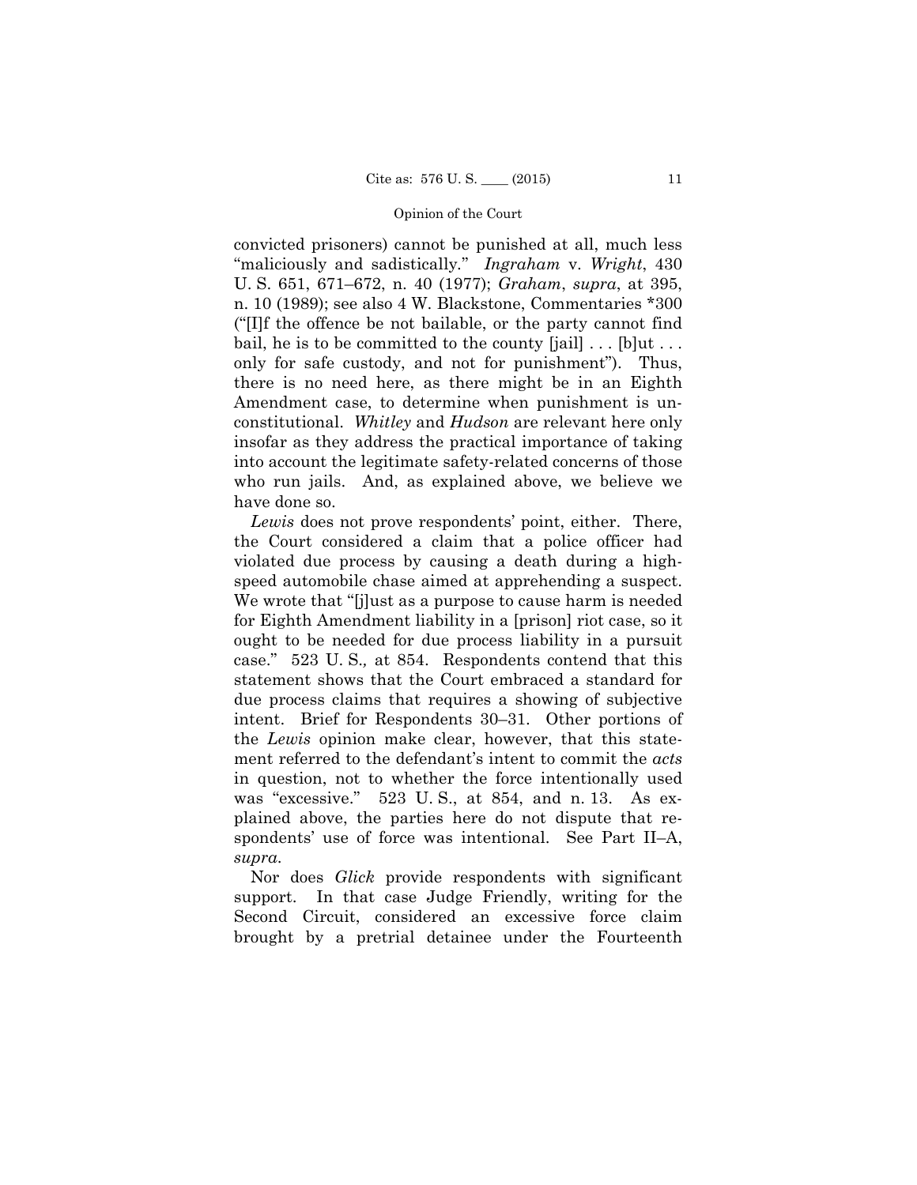bail, he is to be committed to the county  $[jail] \dots [b]$ ut ... convicted prisoners) cannot be punished at all, much less "maliciously and sadistically*.*" *Ingraham* v. *Wright*, 430 U. S. 651, 671–672, n. 40 (1977); *Graham*, *supra*, at 395, n. 10 (1989); see also 4 W. Blackstone, Commentaries \*300 ("[I]f the offence be not bailable, or the party cannot find only for safe custody, and not for punishment"). Thus, there is no need here, as there might be in an Eighth Amendment case, to determine when punishment is unconstitutional. *Whitley* and *Hudson* are relevant here only insofar as they address the practical importance of taking into account the legitimate safety-related concerns of those who run jails. And, as explained above, we believe we have done so.

*Lewis* does not prove respondents' point, either. There, the Court considered a claim that a police officer had violated due process by causing a death during a highspeed automobile chase aimed at apprehending a suspect. We wrote that "[j]ust as a purpose to cause harm is needed for Eighth Amendment liability in a [prison] riot case, so it ought to be needed for due process liability in a pursuit case." 523 U. S.*,* at 854. Respondents contend that this statement shows that the Court embraced a standard for due process claims that requires a showing of subjective intent. Brief for Respondents 30–31. Other portions of the *Lewis* opinion make clear, however, that this statement referred to the defendant's intent to commit the *acts*  in question, not to whether the force intentionally used was "excessive." 523 U. S., at 854, and n. 13. As explained above, the parties here do not dispute that respondents' use of force was intentional. See Part II–A, *supra*.

 Nor does *Glick* provide respondents with significant support. In that case Judge Friendly, writing for the Second Circuit, considered an excessive force claim brought by a pretrial detainee under the Fourteenth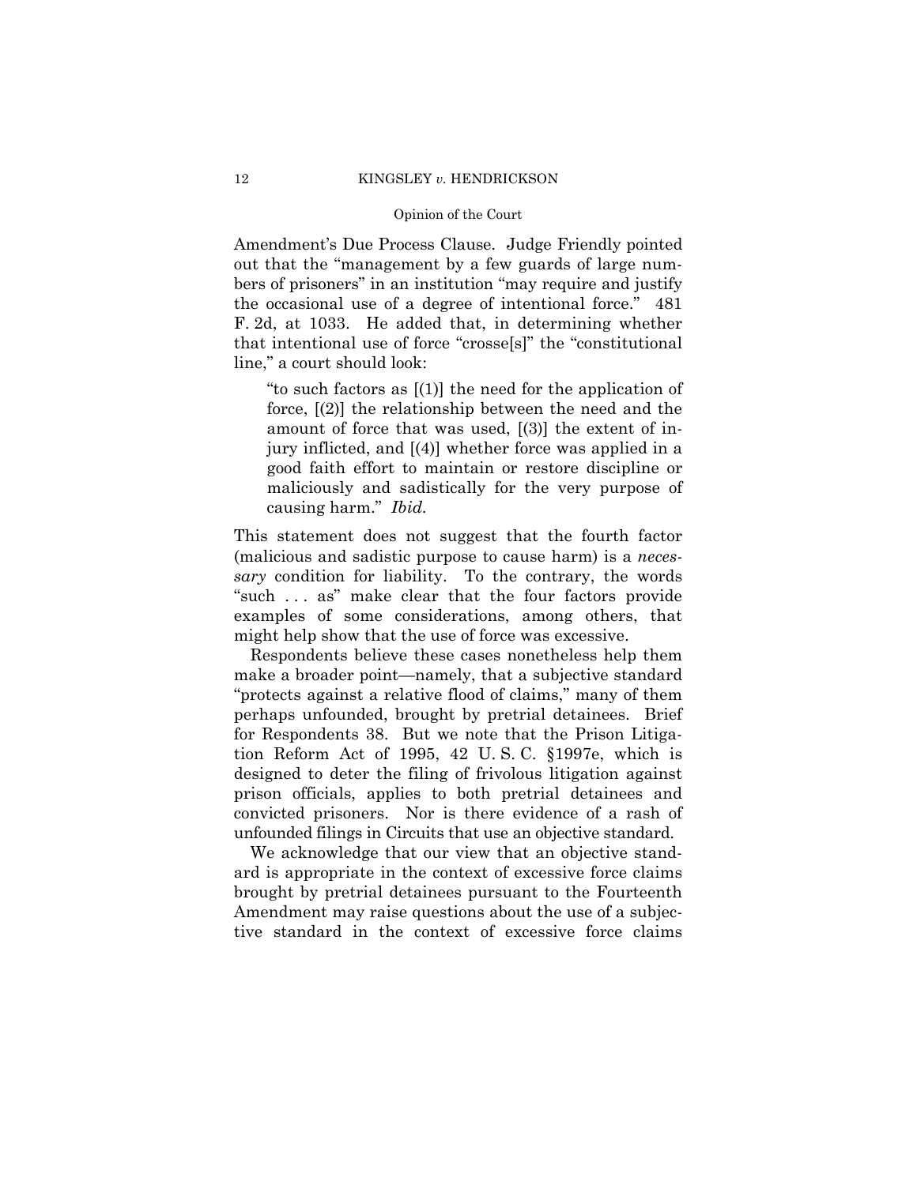Amendment's Due Process Clause. Judge Friendly pointed out that the "management by a few guards of large numbers of prisoners" in an institution "may require and justify the occasional use of a degree of intentional force." 481 F. 2d, at 1033. He added that, in determining whether that intentional use of force "crosse[s]" the "constitutional line," a court should look:

"to such factors as [(1)] the need for the application of force, [(2)] the relationship between the need and the amount of force that was used, [(3)] the extent of injury inflicted, and [(4)] whether force was applied in a good faith effort to maintain or restore discipline or maliciously and sadistically for the very purpose of causing harm." *Ibid.* 

This statement does not suggest that the fourth factor (malicious and sadistic purpose to cause harm) is a *necessary* condition for liability. To the contrary, the words "such . . . as" make clear that the four factors provide examples of some considerations, among others, that might help show that the use of force was excessive.

Respondents believe these cases nonetheless help them make a broader point—namely, that a subjective standard "protects against a relative flood of claims," many of them perhaps unfounded, brought by pretrial detainees. Brief for Respondents 38. But we note that the Prison Litigation Reform Act of 1995, 42 U. S. C. §1997e, which is designed to deter the filing of frivolous litigation against prison officials, applies to both pretrial detainees and convicted prisoners. Nor is there evidence of a rash of unfounded filings in Circuits that use an objective standard.

We acknowledge that our view that an objective standard is appropriate in the context of excessive force claims brought by pretrial detainees pursuant to the Fourteenth Amendment may raise questions about the use of a subjective standard in the context of excessive force claims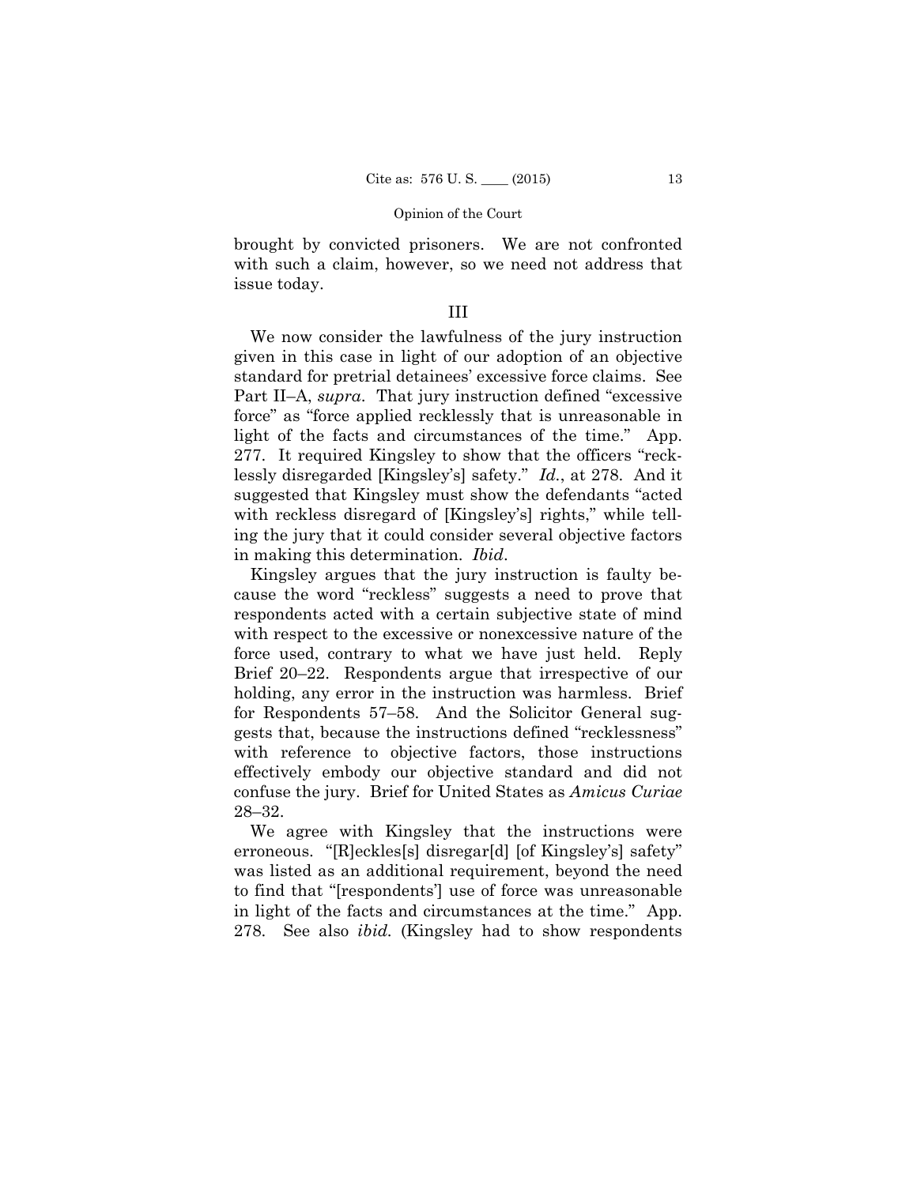brought by convicted prisoners. We are not confronted with such a claim, however, so we need not address that issue today.

## III

We now consider the lawfulness of the jury instruction given in this case in light of our adoption of an objective standard for pretrial detainees' excessive force claims. See Part II–A, *supra*. That jury instruction defined "excessive force" as "force applied recklessly that is unreasonable in light of the facts and circumstances of the time." App. 277. It required Kingsley to show that the officers "recklessly disregarded [Kingsley's] safety." *Id.*, at 278. And it suggested that Kingsley must show the defendants "acted with reckless disregard of [Kingsley's] rights," while telling the jury that it could consider several objective factors in making this determination. *Ibid*.

Kingsley argues that the jury instruction is faulty because the word "reckless" suggests a need to prove that respondents acted with a certain subjective state of mind with respect to the excessive or nonexcessive nature of the force used, contrary to what we have just held. Reply Brief 20–22. Respondents argue that irrespective of our holding, any error in the instruction was harmless. Brief for Respondents 57–58. And the Solicitor General suggests that, because the instructions defined "recklessness" with reference to objective factors, those instructions effectively embody our objective standard and did not confuse the jury. Brief for United States as *Amicus Curiae*  28–32.

We agree with Kingsley that the instructions were erroneous. "[R]eckles[s] disregar[d] [of Kingsley's] safety" was listed as an additional requirement, beyond the need to find that "[respondents'] use of force was unreasonable in light of the facts and circumstances at the time." App. 278. See also *ibid.* (Kingsley had to show respondents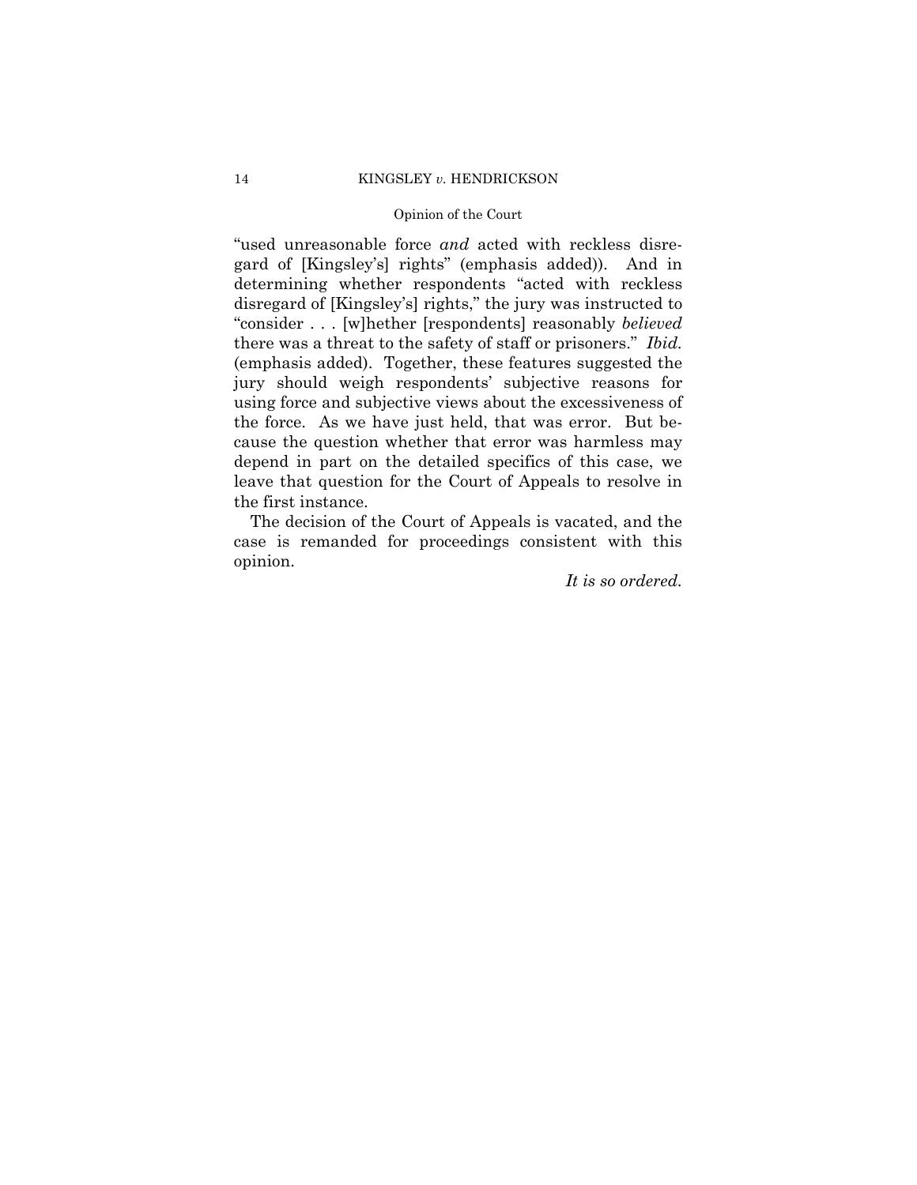"used unreasonable force *and* acted with reckless disregard of [Kingsley's] rights" (emphasis added)). And in determining whether respondents "acted with reckless disregard of [Kingsley's] rights," the jury was instructed to "consider . . . [w]hether [respondents] reasonably *believed*  there was a threat to the safety of staff or prisoners." *Ibid.*  (emphasis added). Together, these features suggested the jury should weigh respondents' subjective reasons for using force and subjective views about the excessiveness of the force. As we have just held, that was error. But because the question whether that error was harmless may depend in part on the detailed specifics of this case, we leave that question for the Court of Appeals to resolve in the first instance.

The decision of the Court of Appeals is vacated, and the case is remanded for proceedings consistent with this opinion.

*It is so ordered.*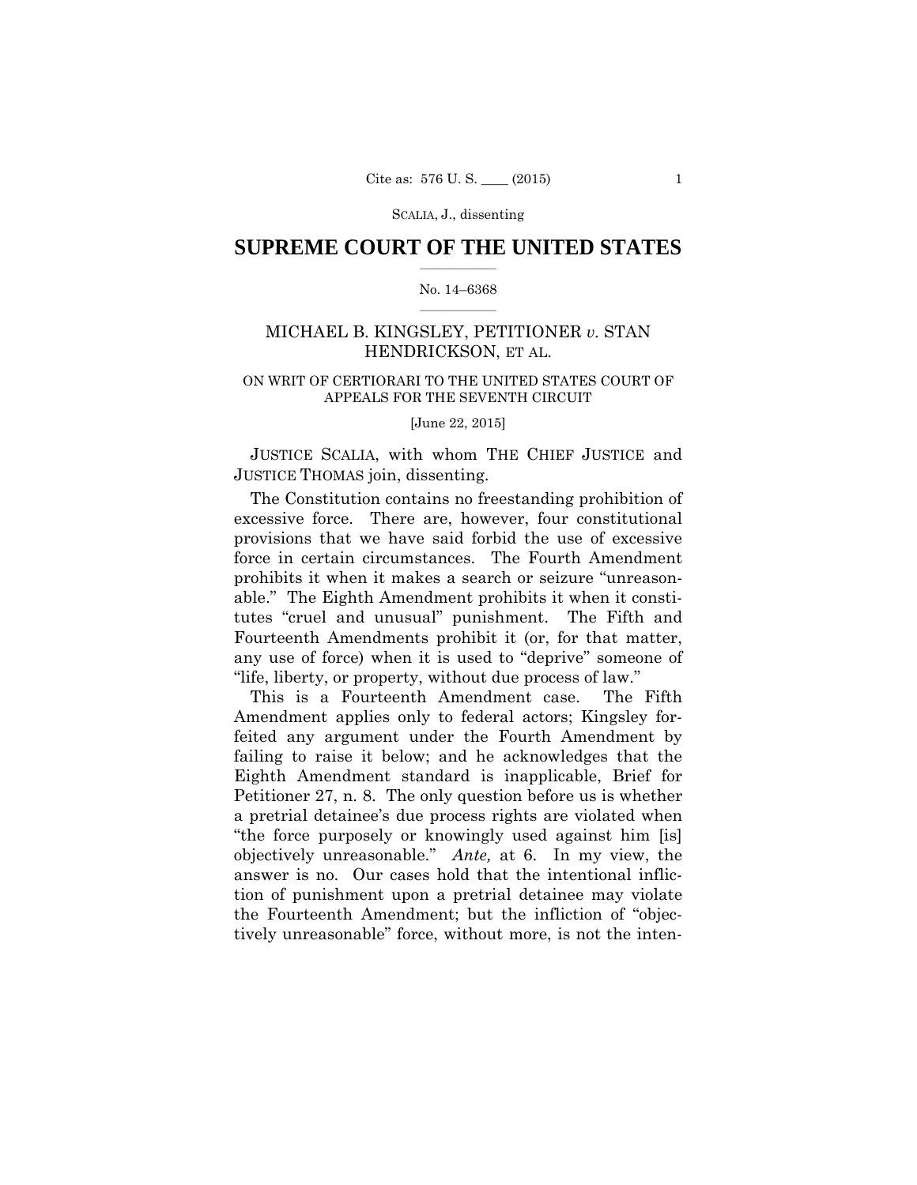## $\frac{1}{2}$  , where  $\frac{1}{2}$ **SUPREME COURT OF THE UNITED STATES**

#### $\frac{1}{2}$  ,  $\frac{1}{2}$  ,  $\frac{1}{2}$  ,  $\frac{1}{2}$  ,  $\frac{1}{2}$  ,  $\frac{1}{2}$ No. 14–6368

## MICHAEL B. KINGSLEY, PETITIONER *v.* STAN HENDRICKSON, ET AL.

## ON WRIT OF CERTIORARI TO THE UNITED STATES COURT OF APPEALS FOR THE SEVENTH CIRCUIT

[June 22, 2015]

 JUSTICE SCALIA, with whom THE CHIEF JUSTICE and JUSTICE THOMAS join, dissenting.

The Constitution contains no freestanding prohibition of excessive force. There are, however, four constitutional provisions that we have said forbid the use of excessive force in certain circumstances. The Fourth Amendment prohibits it when it makes a search or seizure "unreasonable." The Eighth Amendment prohibits it when it constitutes "cruel and unusual" punishment. The Fifth and Fourteenth Amendments prohibit it (or, for that matter, any use of force) when it is used to "deprive" someone of "life, liberty, or property, without due process of law."

This is a Fourteenth Amendment case. The Fifth Amendment applies only to federal actors; Kingsley forfeited any argument under the Fourth Amendment by failing to raise it below; and he acknowledges that the Eighth Amendment standard is inapplicable, Brief for Petitioner 27, n. 8. The only question before us is whether a pretrial detainee's due process rights are violated when "the force purposely or knowingly used against him [is] objectively unreasonable." *Ante,* at 6. In my view, the answer is no. Our cases hold that the intentional infliction of punishment upon a pretrial detainee may violate the Fourteenth Amendment; but the infliction of "objectively unreasonable" force, without more, is not the inten-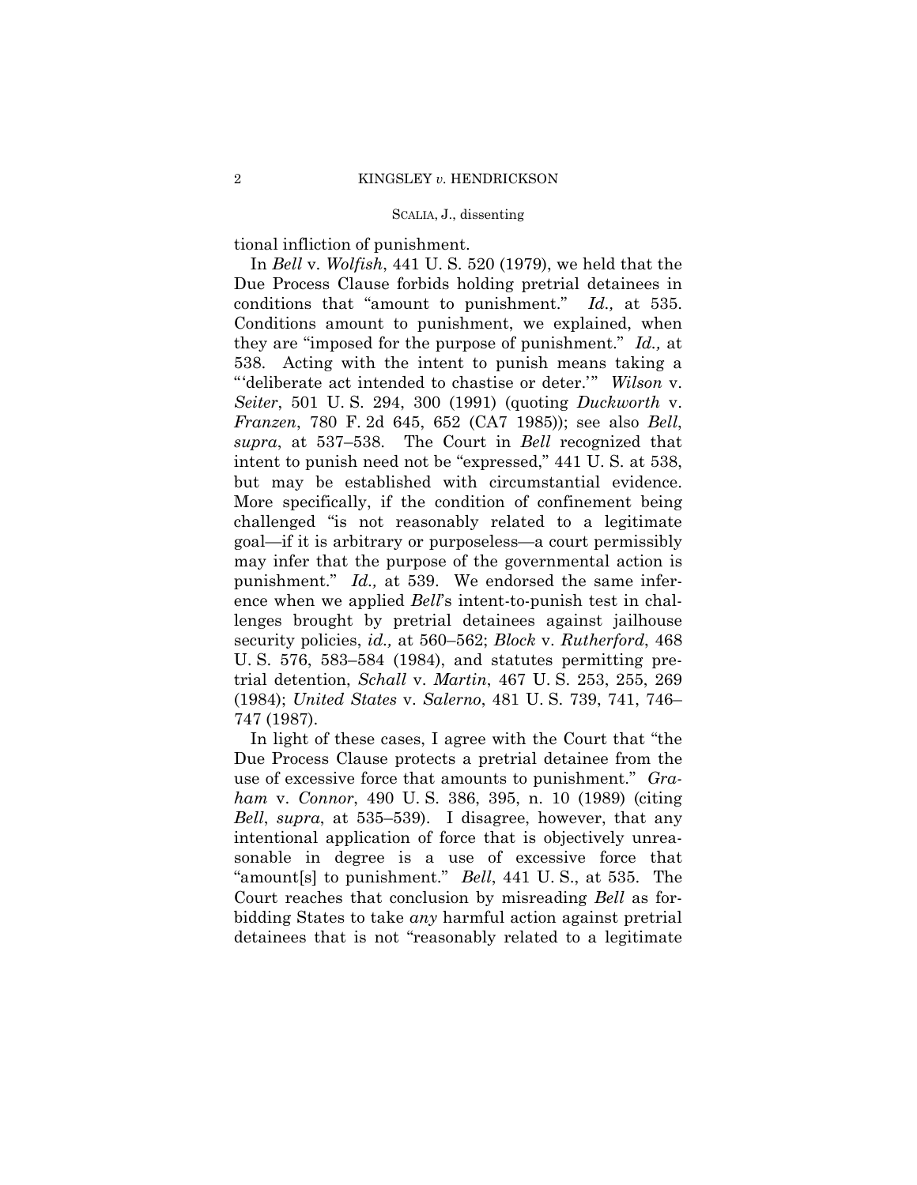tional infliction of punishment.

In *Bell* v. *Wolfish*, 441 U. S. 520 (1979), we held that the Due Process Clause forbids holding pretrial detainees in conditions that "amount to punishment." *Id.,* at 535. Conditions amount to punishment, we explained, when they are "imposed for the purpose of punishment." *Id.,* at 538. Acting with the intent to punish means taking a "'deliberate act intended to chastise or deter.'" *Wilson* v. *Seiter*, 501 U. S. 294, 300 (1991) (quoting *Duckworth* v. *Franzen*, 780 F. 2d 645, 652 (CA7 1985)); see also *Bell*, *supra*, at 537–538. The Court in *Bell* recognized that intent to punish need not be "expressed," 441 U. S. at 538, but may be established with circumstantial evidence. More specifically, if the condition of confinement being challenged "is not reasonably related to a legitimate goal—if it is arbitrary or purposeless—a court permissibly may infer that the purpose of the governmental action is punishment." *Id.,* at 539. We endorsed the same inference when we applied *Bell*'s intent-to-punish test in challenges brought by pretrial detainees against jailhouse security policies, *id.,* at 560–562; *Block* v. *Rutherford*, 468 U. S. 576, 583–584 (1984), and statutes permitting pretrial detention, *Schall* v. *Martin*, 467 U. S. 253, 255, 269 (1984); *United States* v. *Salerno*, 481 U. S. 739, 741, 746– 747 (1987).

In light of these cases, I agree with the Court that "the Due Process Clause protects a pretrial detainee from the use of excessive force that amounts to punishment." *Graham* v. *Connor*, 490 U. S. 386, 395, n. 10 (1989) (citing *Bell*, *supra*, at 535–539). I disagree, however, that any intentional application of force that is objectively unreasonable in degree is a use of excessive force that "amount[s] to punishment." *Bell*, 441 U. S., at 535. The Court reaches that conclusion by misreading *Bell* as forbidding States to take *any* harmful action against pretrial detainees that is not "reasonably related to a legitimate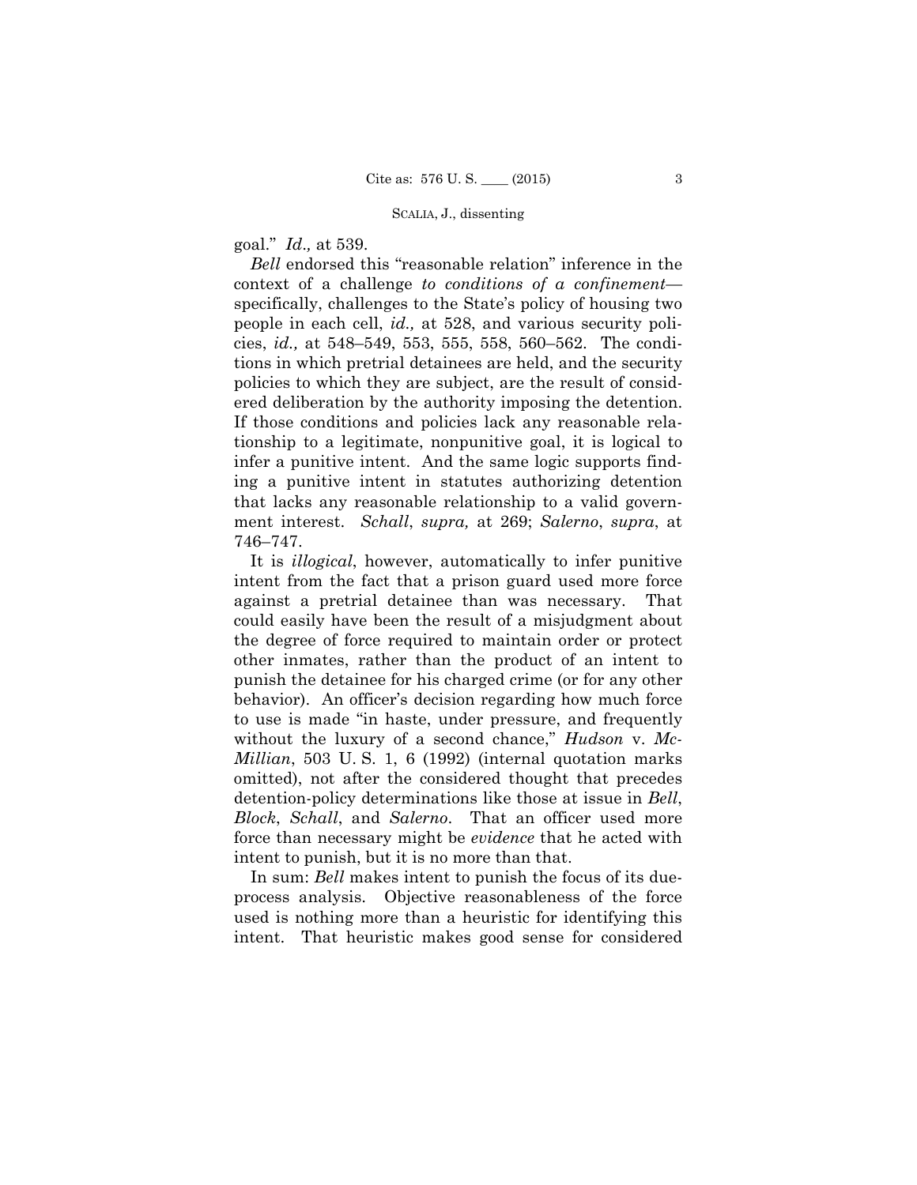goal." *Id*.*,* at 539.

 ered deliberation by the authority imposing the detention. *Bell* endorsed this "reasonable relation" inference in the context of a challenge *to conditions of a confinement* specifically, challenges to the State's policy of housing two people in each cell, *id.,* at 528, and various security policies, *id.,* at 548–549, 553, 555, 558, 560–562. The conditions in which pretrial detainees are held, and the security policies to which they are subject, are the result of consid-If those conditions and policies lack any reasonable relationship to a legitimate, nonpunitive goal, it is logical to infer a punitive intent. And the same logic supports finding a punitive intent in statutes authorizing detention that lacks any reasonable relationship to a valid government interest. *Schall*, *supra,* at 269; *Salerno*, *supra*, at 746–747.

 It is *illogical*, however, automatically to infer punitive intent from the fact that a prison guard used more force against a pretrial detainee than was necessary. That could easily have been the result of a misjudgment about the degree of force required to maintain order or protect other inmates, rather than the product of an intent to punish the detainee for his charged crime (or for any other behavior). An officer's decision regarding how much force to use is made "in haste, under pressure, and frequently without the luxury of a second chance," *Hudson* v. *Mc-Millian*, 503 U. S. 1, 6 (1992) (internal quotation marks omitted), not after the considered thought that precedes detention-policy determinations like those at issue in *Bell*, *Block*, *Schall*, and *Salerno*. That an officer used more force than necessary might be *evidence* that he acted with intent to punish, but it is no more than that.

 In sum: *Bell* makes intent to punish the focus of its dueprocess analysis. Objective reasonableness of the force used is nothing more than a heuristic for identifying this intent. That heuristic makes good sense for considered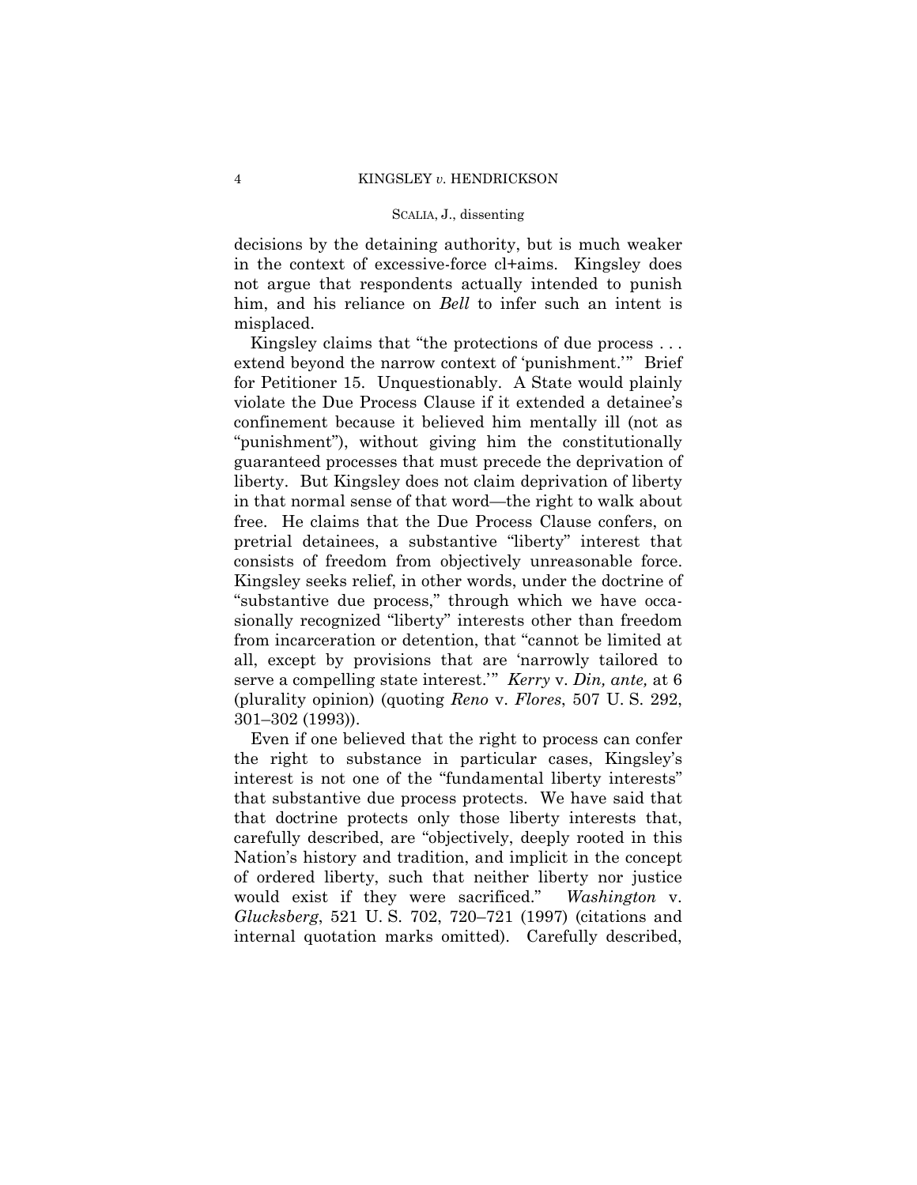decisions by the detaining authority, but is much weaker in the context of excessive-force cl+aims. Kingsley does not argue that respondents actually intended to punish him, and his reliance on *Bell* to infer such an intent is misplaced.

 liberty. But Kingsley does not claim deprivation of liberty Kingsley claims that "the protections of due process . . . extend beyond the narrow context of 'punishment.'" Brief for Petitioner 15. Unquestionably. A State would plainly violate the Due Process Clause if it extended a detainee's confinement because it believed him mentally ill (not as "punishment"), without giving him the constitutionally guaranteed processes that must precede the deprivation of in that normal sense of that word—the right to walk about free. He claims that the Due Process Clause confers, on pretrial detainees, a substantive "liberty" interest that consists of freedom from objectively unreasonable force. Kingsley seeks relief, in other words, under the doctrine of "substantive due process," through which we have occasionally recognized "liberty" interests other than freedom from incarceration or detention, that "cannot be limited at all, except by provisions that are 'narrowly tailored to serve a compelling state interest.'" *Kerry* v. *Din, ante,* at 6 (plurality opinion) (quoting *Reno* v. *Flores*, 507 U. S. 292, 301–302 (1993)).

Even if one believed that the right to process can confer the right to substance in particular cases, Kingsley's interest is not one of the "fundamental liberty interests" that substantive due process protects. We have said that that doctrine protects only those liberty interests that, carefully described, are "objectively, deeply rooted in this Nation's history and tradition, and implicit in the concept of ordered liberty, such that neither liberty nor justice would exist if they were sacrificed." *Washington* v. *Glucksberg*, 521 U. S. 702, 720–721 (1997) (citations and internal quotation marks omitted). Carefully described,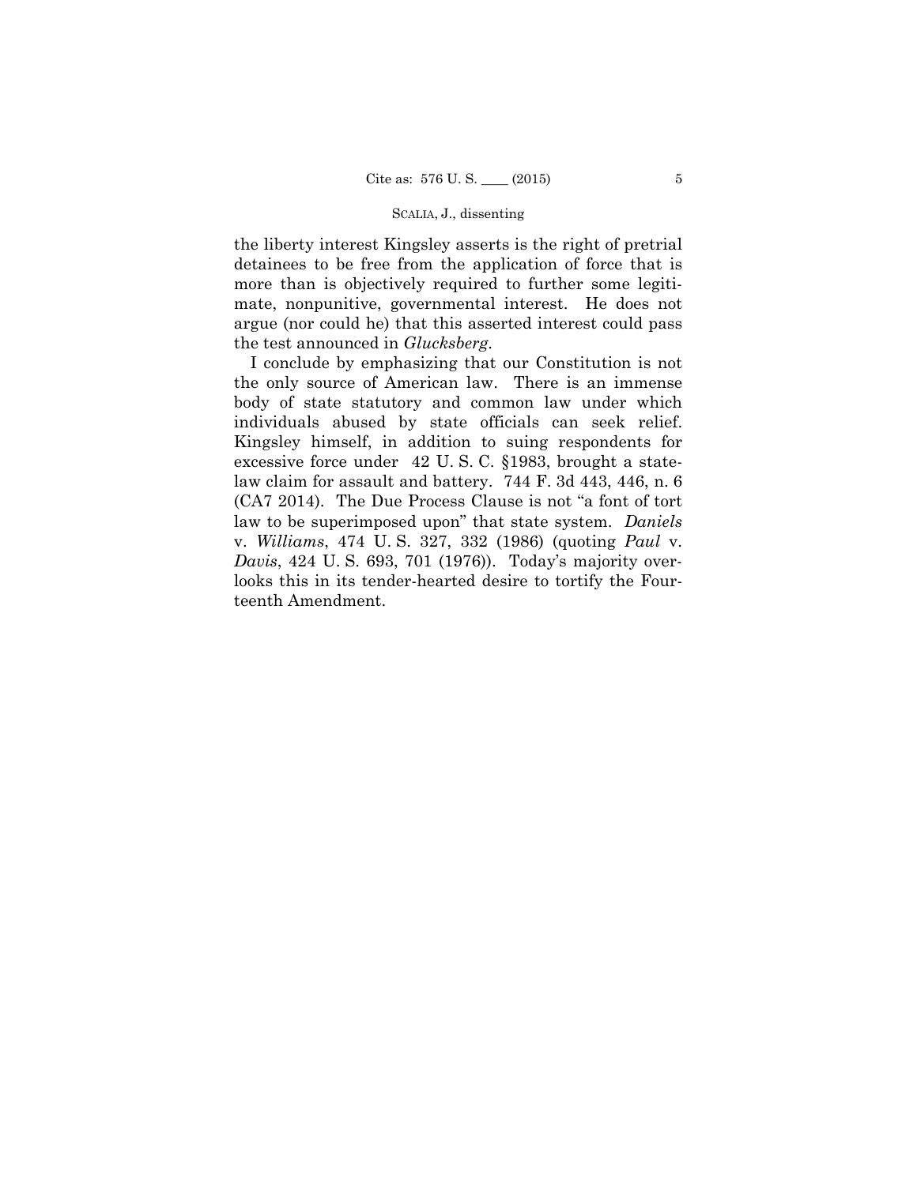the liberty interest Kingsley asserts is the right of pretrial detainees to be free from the application of force that is more than is objectively required to further some legitimate, nonpunitive, governmental interest. He does not argue (nor could he) that this asserted interest could pass the test announced in *Glucksberg*.

 individuals abused by state officials can seek relief. I conclude by emphasizing that our Constitution is not the only source of American law. There is an immense body of state statutory and common law under which Kingsley himself, in addition to suing respondents for excessive force under 42 U. S. C. §1983, brought a statelaw claim for assault and battery. 744 F. 3d 443, 446, n. 6 (CA7 2014). The Due Process Clause is not "a font of tort law to be superimposed upon" that state system. *Daniels*  v. *Williams*, 474 U. S. 327, 332 (1986) (quoting *Paul* v. *Davis*, 424 U. S. 693, 701 (1976)). Today's majority overlooks this in its tender-hearted desire to tortify the Fourteenth Amendment.